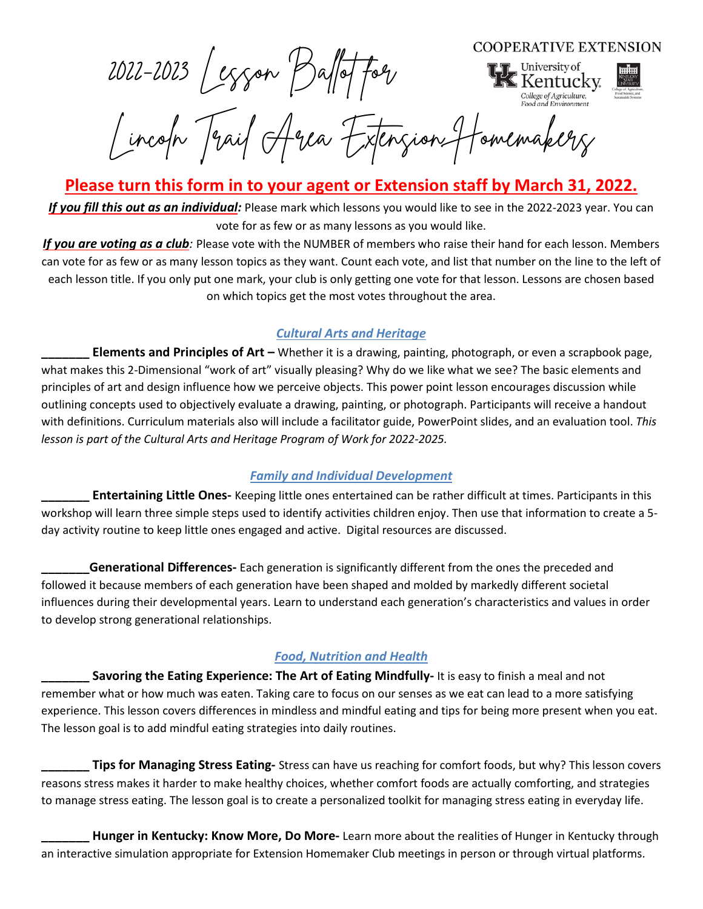**COOPERATIVE EXTENSION** 

2022-2023 Lesson Ballot for



Lincoln Trail Area Extension Homemakers

**Please turn this form in to your agent or Extension staff by March 31, 2022.**

*If you fill this out as an individual:* Please mark which lessons you would like to see in the 2022-2023 year. You can vote for as few or as many lessons as you would like.

*If you are voting as a club:* Please vote with the NUMBER of members who raise their hand for each lesson. Members can vote for as few or as many lesson topics as they want. Count each vote, and list that number on the line to the left of each lesson title. If you only put one mark, your club is only getting one vote for that lesson. Lessons are chosen based on which topics get the most votes throughout the area.

#### *Cultural Arts and Heritage*

**\_\_\_\_\_\_\_ Elements and Principles of Art –** Whether it is a drawing, painting, photograph, or even a scrapbook page, what makes this 2-Dimensional "work of art" visually pleasing? Why do we like what we see? The basic elements and principles of art and design influence how we perceive objects. This power point lesson encourages discussion while outlining concepts used to objectively evaluate a drawing, painting, or photograph. Participants will receive a handout with definitions. Curriculum materials also will include a facilitator guide, PowerPoint slides, and an evaluation tool. *This lesson is part of the Cultural Arts and Heritage Program of Work for 2022-2025.*

#### *Family and Individual Development*

**\_\_\_\_\_\_\_ Entertaining Little Ones-** Keeping little ones entertained can be rather difficult at times. Participants in this workshop will learn three simple steps used to identify activities children enjoy. Then use that information to create a 5 day activity routine to keep little ones engaged and active. Digital resources are discussed.

**Generational Differences-** Each generation is significantly different from the ones the preceded and followed it because members of each generation have been shaped and molded by markedly different societal influences during their developmental years. Learn to understand each generation's characteristics and values in order to develop strong generational relationships.

#### *Food, Nutrition and Health*

**\_\_\_\_\_\_\_ Savoring the Eating Experience: The Art of Eating Mindfully-** It is easy to finish a meal and not remember what or how much was eaten. Taking care to focus on our senses as we eat can lead to a more satisfying experience. This lesson covers differences in mindless and mindful eating and tips for being more present when you eat. The lesson goal is to add mindful eating strategies into daily routines.

**\_\_\_\_\_\_\_ Tips for Managing Stress Eating-** Stress can have us reaching for comfort foods, but why? This lesson covers reasons stress makes it harder to make healthy choices, whether comfort foods are actually comforting, and strategies to manage stress eating. The lesson goal is to create a personalized toolkit for managing stress eating in everyday life.

**\_\_\_\_\_\_\_ Hunger in Kentucky: Know More, Do More-** Learn more about the realities of Hunger in Kentucky through an interactive simulation appropriate for Extension Homemaker Club meetings in person or through virtual platforms.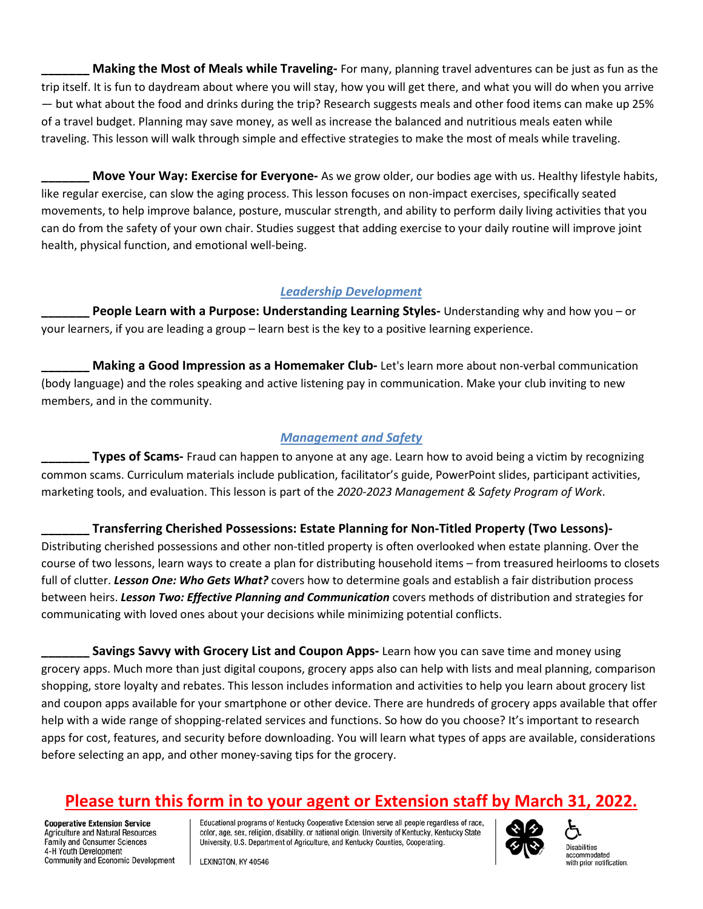**\_\_\_\_\_\_\_ Making the Most of Meals while Traveling-** For many, planning travel adventures can be just as fun as the trip itself. It is fun to daydream about where you will stay, how you will get there, and what you will do when you arrive — but what about the food and drinks during the trip? Research suggests meals and other food items can make up 25% of a travel budget. Planning may save money, as well as increase the balanced and nutritious meals eaten while traveling. This lesson will walk through simple and effective strategies to make the most of meals while traveling.

**Move Your Way: Exercise for Everyone-** As we grow older, our bodies age with us. Healthy lifestyle habits, like regular exercise, can slow the aging process. This lesson focuses on non-impact exercises, specifically seated movements, to help improve balance, posture, muscular strength, and ability to perform daily living activities that you can do from the safety of your own chair. Studies suggest that adding exercise to your daily routine will improve joint health, physical function, and emotional well-being.

#### *Leadership Development*

**People Learn with a Purpose: Understanding Learning Styles-** Understanding why and how you – or your learners, if you are leading a group – learn best is the key to a positive learning experience.

**\_\_\_\_\_\_\_ Making a Good Impression as a Homemaker Club-** Let's learn more about non-verbal communication (body language) and the roles speaking and active listening pay in communication. Make your club inviting to new members, and in the community.

#### *Management and Safety*

**Types of Scams-** Fraud can happen to anyone at any age. Learn how to avoid being a victim by recognizing common scams. Curriculum materials include publication, facilitator's guide, PowerPoint slides, participant activities, marketing tools, and evaluation. This lesson is part of the *2020-2023 Management & Safety Program of Work*.

**\_\_\_\_\_\_\_ Transferring Cherished Possessions: Estate Planning for Non-Titled Property (Two Lessons)-** Distributing cherished possessions and other non-titled property is often overlooked when estate planning. Over the course of two lessons, learn ways to create a plan for distributing household items – from treasured heirlooms to closets full of clutter. *Lesson One: Who Gets What?* covers how to determine goals and establish a fair distribution process between heirs. *Lesson Two: Effective Planning and Communication* covers methods of distribution and strategies for communicating with loved ones about your decisions while minimizing potential conflicts.

**Savings Savvy with Grocery List and Coupon Apps-** Learn how you can save time and money using grocery apps. Much more than just digital coupons, grocery apps also can help with lists and meal planning, comparison shopping, store loyalty and rebates. This lesson includes information and activities to help you learn about grocery list and coupon apps available for your smartphone or other device. There are hundreds of grocery apps available that offer help with a wide range of shopping-related services and functions. So how do you choose? It's important to research apps for cost, features, and security before downloading. You will learn what types of apps are available, considerations before selecting an app, and other money-saving tips for the grocery.

## **Please turn this form in to your agent or Extension staff by March 31, 2022.**

**Cooperative Extension Service** Agriculture and Natural Resources Family and Consumer Sciences 4-H Youth Development Community and Economic Development Educational programs of Kentucky Cooperative Extension serve all people regardless of race, color, age, sex, religion, disability, or national origin. University of Kentucky, Kentucky State University, U.S. Department of Agriculture, and Kentucky Counties, Cooperating.



**Disabilities** accommodated with prior notification.

LEXINGTON, KY 40546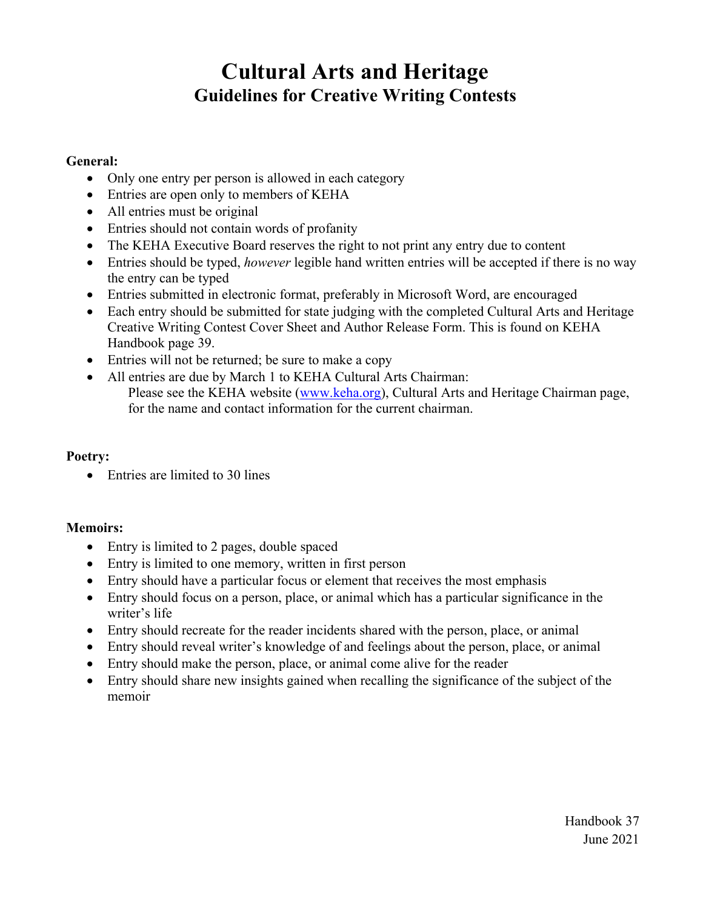## **Cultural Arts and Heritage Guidelines for Creative Writing Contests**

#### **General:**

- Only one entry per person is allowed in each category
- Entries are open only to members of KEHA
- All entries must be original
- Entries should not contain words of profanity
- The KEHA Executive Board reserves the right to not print any entry due to content
- Entries should be typed, *however* legible hand written entries will be accepted if there is no way the entry can be typed
- Entries submitted in electronic format, preferably in Microsoft Word, are encouraged
- Each entry should be submitted for state judging with the completed Cultural Arts and Heritage Creative Writing Contest Cover Sheet and Author Release Form. This is found on KEHA Handbook page 39.
- Entries will not be returned; be sure to make a copy
- All entries are due by March 1 to KEHA Cultural Arts Chairman: Please see the KEHA website (www.keha.org), Cultural Arts and Heritage Chairman page, for the name and contact information for the current chairman.

#### **Poetry:**

• Entries are limited to 30 lines

#### **Memoirs:**

- Entry is limited to 2 pages, double spaced
- Entry is limited to one memory, written in first person
- Entry should have a particular focus or element that receives the most emphasis
- Entry should focus on a person, place, or animal which has a particular significance in the writer's life
- Entry should recreate for the reader incidents shared with the person, place, or animal
- Entry should reveal writer's knowledge of and feelings about the person, place, or animal
- Entry should make the person, place, or animal come alive for the reader
- Entry should share new insights gained when recalling the significance of the subject of the memoir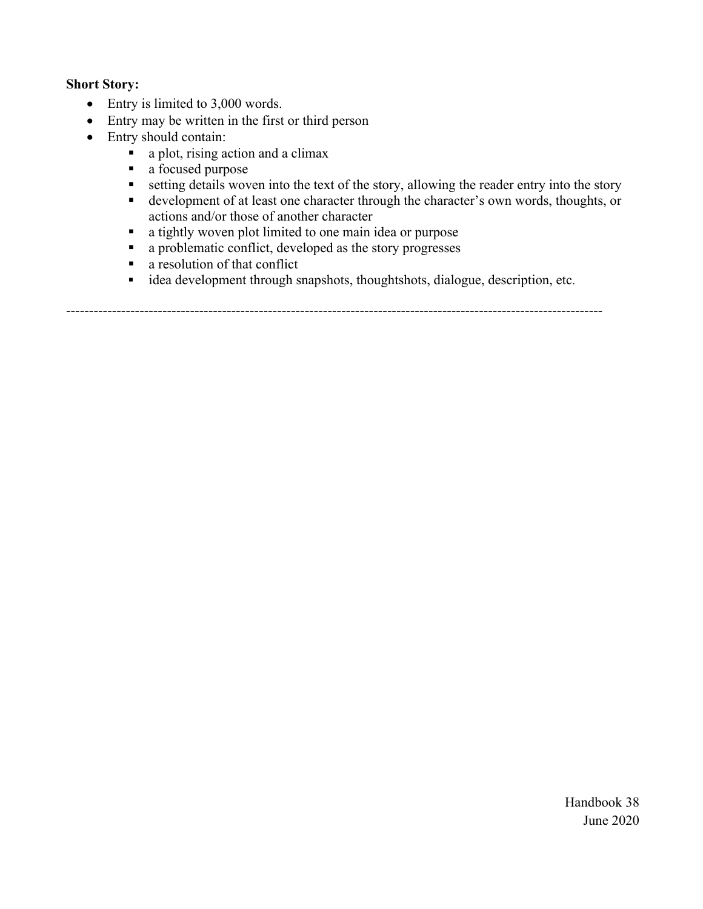#### **Short Story:**

- Entry is limited to 3,000 words.
- Entry may be written in the first or third person
- Entry should contain:
	- a plot, rising action and a climax
	- a focused purpose
	- $\blacksquare$  setting details woven into the text of the story, allowing the reader entry into the story
	- development of at least one character through the character's own words, thoughts, or actions and/or those of another character
	- a tightly woven plot limited to one main idea or purpose
	- a problematic conflict, developed as the story progresses
	- **a** resolution of that conflict
	- idea development through snapshots, thoughtshots, dialogue, description, etc.

---------------------------------------------------------------------------------------------------------------------